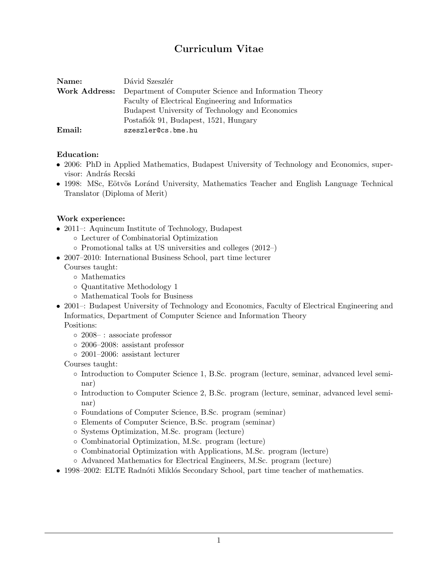# Curriculum Vitae

| Name:                | Dávid Szeszlér                                        |
|----------------------|-------------------------------------------------------|
| <b>Work Address:</b> | Department of Computer Science and Information Theory |
|                      | Faculty of Electrical Engineering and Informatics     |
|                      | Budapest University of Technology and Economics       |
|                      | Postafiók 91, Budapest, 1521, Hungary                 |
| Email:               | szeszler@cs.bme.hu                                    |

#### Education:

- 2006: PhD in Applied Mathematics, Budapest University of Technology and Economics, supervisor: András Recski
- 1998: MSc, Eötvös Loránd University, Mathematics Teacher and English Language Technical Translator (Diploma of Merit)

#### Work experience:

- 2011–: Aquincum Institute of Technology, Budapest
	- Lecturer of Combinatorial Optimization
	- Promotional talks at US universities and colleges (2012–)
- 2007–2010: International Business School, part time lecturer
	- Courses taught:
		- Mathematics
		- Quantitative Methodology 1
		- Mathematical Tools for Business
- 2001–: Budapest University of Technology and Economics, Faculty of Electrical Engineering and Informatics, Department of Computer Science and Information Theory

Positions:

- 2008– : associate professor
- 2006–2008: assistant professor
- 2001–2006: assistant lecturer

Courses taught:

- Introduction to Computer Science 1, B.Sc. program (lecture, seminar, advanced level seminar)
- Introduction to Computer Science 2, B.Sc. program (lecture, seminar, advanced level seminar)
- Foundations of Computer Science, B.Sc. program (seminar)
- Elements of Computer Science, B.Sc. program (seminar)
- Systems Optimization, M.Sc. program (lecture)
- Combinatorial Optimization, M.Sc. program (lecture)
- Combinatorial Optimization with Applications, M.Sc. program (lecture)
- Advanced Mathematics for Electrical Engineers, M.Sc. program (lecture)
- 1998–2002: ELTE Radnóti Miklós Secondary School, part time teacher of mathematics.